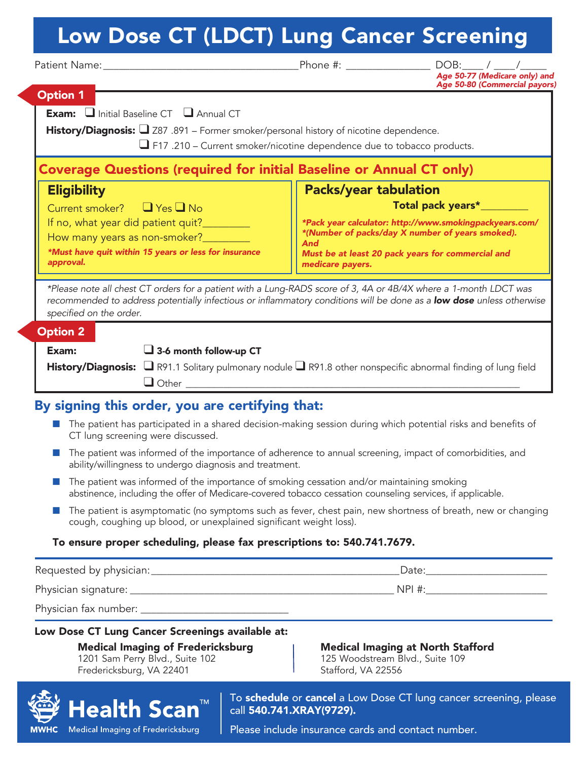# Low Dose CT (LDCT) Lung Cancer Screening

| Patient Name: Manner And Allen Manner and Allen Manner and Allen Manner and Allen Manner and Allen Manner and                                                                                                                                                       | Phone #:                     | $DOB:$ _____/ ____/__<br>Age 50-77 (Medicare only) and  |
|---------------------------------------------------------------------------------------------------------------------------------------------------------------------------------------------------------------------------------------------------------------------|------------------------------|---------------------------------------------------------|
| <b>Option 1</b>                                                                                                                                                                                                                                                     |                              | Age 50-80 (Commercial payors)                           |
|                                                                                                                                                                                                                                                                     |                              |                                                         |
| Exam: I Initial Baseline CT <b>I</b> Annual CT                                                                                                                                                                                                                      |                              |                                                         |
| History/Diagnosis: 287 .891 - Former smoker/personal history of nicotine dependence.                                                                                                                                                                                |                              |                                                         |
| $\Box$ F17 .210 – Current smoker/nicotine dependence due to tobacco products.                                                                                                                                                                                       |                              |                                                         |
| <b>Coverage Questions (required for initial Baseline or Annual CT only)</b>                                                                                                                                                                                         |                              |                                                         |
| <b>Eligibility</b>                                                                                                                                                                                                                                                  | <b>Packs/year tabulation</b> |                                                         |
| Current smoker? ■ Yes ■ No                                                                                                                                                                                                                                          |                              | Total pack years*_                                      |
| If no, what year did patient quit?_________                                                                                                                                                                                                                         |                              | *Pack year calculator: http://www.smokingpackyears.com/ |
| How many years as non-smoker?_________                                                                                                                                                                                                                              | And                          | *(Number of packs/day X number of years smoked).        |
| *Must have quit within 15 years or less for insurance<br>approval.                                                                                                                                                                                                  |                              | Must be at least 20 pack years for commercial and       |
|                                                                                                                                                                                                                                                                     | medicare payers.             |                                                         |
| *Please note all chest CT orders for a patient with a Lung-RADS score of 3, 4A or 4B/4X where a 1-month LDCT was<br>recommended to address potentially infectious or inflammatory conditions will be done as a low dose unless otherwise<br>specified on the order. |                              |                                                         |
| <b>Option 2</b>                                                                                                                                                                                                                                                     |                              |                                                         |
| Exam:<br>$\Box$ 3-6 month follow-up CT                                                                                                                                                                                                                              |                              |                                                         |
| History/Diagnosis: $\Box$ R91.1 Solitary pulmonary nodule $\Box$ R91.8 other nonspecific abnormal finding of lung field<br>$\Box$ Other $\Box$                                                                                                                      |                              |                                                         |
| By signing this order, you are certifying that:                                                                                                                                                                                                                     |                              |                                                         |
| The patient has participated in a shared decision-making session during which potential risks and benefits of<br>CT lung screening were discussed.                                                                                                                  |                              |                                                         |
| The patient was informed of the importance of adherence to annual screening, impact of comorbidities, and<br>a a<br>ability/willingness to undergo diagnosis and treatment.                                                                                         |                              |                                                         |
| The patient was informed of the importance of smoking cessation and/or maintaining smoking<br>abstinence, including the offer of Medicare-covered tobacco cessation counseling services, if applicable.                                                             |                              |                                                         |
| The patient is asymptomatic (no symptoms such as fever, chest pain, new shortness of breath, new or changing                                                                                                                                                        |                              |                                                         |

cough, coughing up blood, or unexplained significant weight loss).

#### To ensure proper scheduling, please fax prescriptions to: 540.741.7679.

Requested by physician: example and the set of the set of the set of the set of the set of the set of the set o

Physician signature: \_\_\_\_\_\_\_\_\_\_\_\_\_\_\_\_\_\_\_\_\_\_\_\_\_\_\_\_\_\_\_\_\_\_\_\_\_\_\_\_\_\_\_\_\_\_\_\_\_\_ NPI #:\_\_\_\_\_\_\_\_\_\_\_\_\_\_\_\_\_\_\_\_\_\_\_

Physician fax number: \_\_\_\_\_\_\_\_\_\_\_\_\_\_\_\_\_\_\_\_\_\_\_\_\_\_\_\_

Low Dose CT Lung Cancer Screenings available at:

1201 Sam Perry Blvd., Suite 102 125 Woodstream B<br>Fredericksburg, VA 22401 125 Stafford, VA 22556 Fredericksburg, VA 22401

**Medical Imaging of Fredericksburg Medical Imaging at North Stafford**<br>1201 Sam Perry Blvd., Suite 102 **125 Woodstream Blvd., Suite 109** 



To schedule or cancel a Low Dose CT lung cancer screening, please call 540.741.XRAY(9729).

Please include insurance cards and contact number.